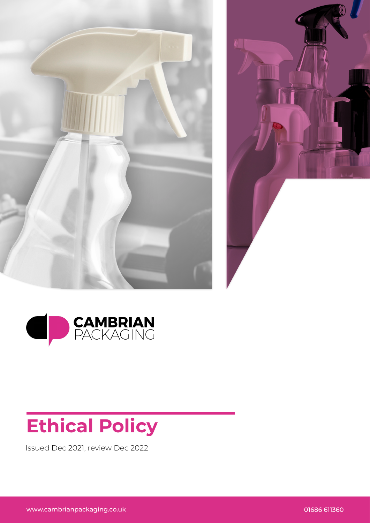





## **Ethical Policy**

Issued Dec 2021, review Dec 2022